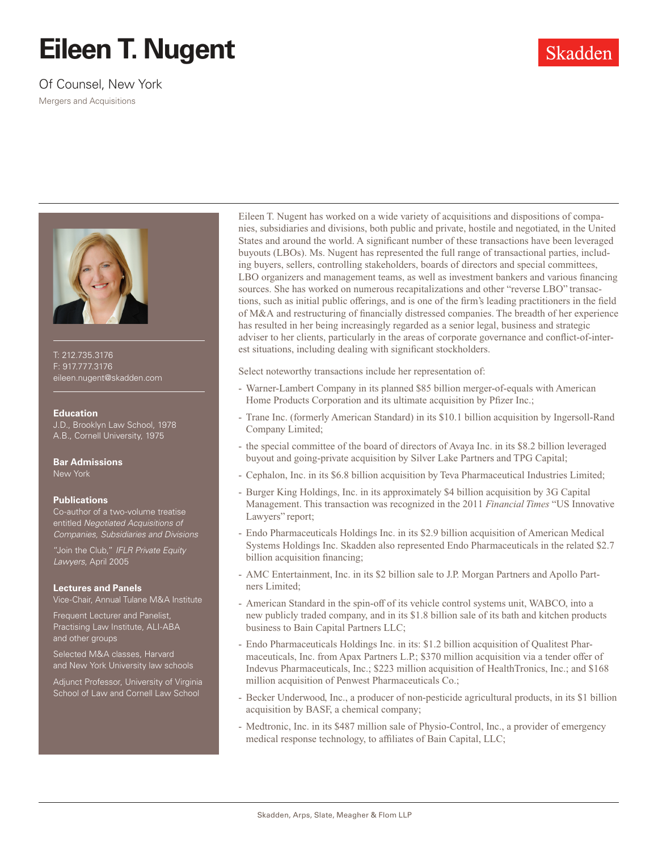## **Eileen T. Nugent**

Of Counsel, New York

Mergers and Acquisitions





T: 212.735.3176 F: 917.777.3176 eileen.nugent@skadden.com

## **Education**

J.D., Brooklyn Law School, 1978 A.B., Cornell University, 1975

**Bar Admissions** New York

## **Publications**

Co-author of a two-volume treatise entitled *Negotiated Acquisitions of Companies, Subsidiaries and Divisions*

"Join the Club," *IFLR Private Equity Lawyers*, April 2005

## **Lectures and Panels**

Vice-Chair, Annual Tulane M&A Institute

Frequent Lecturer and Panelist, Practising Law Institute, ALI-ABA and other groups

Selected M&A classes, Harvard and New York University law schools

Adjunct Professor, University of Virginia School of Law and Cornell Law School

Eileen T. Nugent has worked on a wide variety of acquisitions and dispositions of companies, subsidiaries and divisions, both public and private, hostile and negotiated, in the United States and around the world. A significant number of these transactions have been leveraged buyouts (LBOs). Ms. Nugent has represented the full range of transactional parties, including buyers, sellers, controlling stakeholders, boards of directors and special committees, LBO organizers and management teams, as well as investment bankers and various financing sources. She has worked on numerous recapitalizations and other "reverse LBO" transactions, such as initial public offerings, and is one of the firm's leading practitioners in the field of M&A and restructuring of financially distressed companies. The breadth of her experience has resulted in her being increasingly regarded as a senior legal, business and strategic adviser to her clients, particularly in the areas of corporate governance and conflict-of-interest situations, including dealing with significant stockholders.

Select noteworthy transactions include her representation of:

- Warner-Lambert Company in its planned \$85 billion merger-of-equals with American Home Products Corporation and its ultimate acquisition by Pfizer Inc.;
- Trane Inc. (formerly American Standard) in its \$10.1 billion acquisition by Ingersoll-Rand Company Limited;
- the special committee of the board of directors of Avaya Inc. in its \$8.2 billion leveraged buyout and going-private acquisition by Silver Lake Partners and TPG Capital;
- Cephalon, Inc. in its \$6.8 billion acquisition by Teva Pharmaceutical Industries Limited;
- Burger King Holdings, Inc. in its approximately \$4 billion acquisition by 3G Capital Management. This transaction was recognized in the 2011 *Financial Times* "US Innovative Lawyers" report;
- Endo Pharmaceuticals Holdings Inc. in its \$2.9 billion acquisition of American Medical Systems Holdings Inc. Skadden also represented Endo Pharmaceuticals in the related \$2.7 billion acquisition financing;
- AMC Entertainment, Inc. in its \$2 billion sale to J.P. Morgan Partners and Apollo Partners Limited;
- American Standard in the spin-off of its vehicle control systems unit, WABCO, into a new publicly traded company, and in its \$1.8 billion sale of its bath and kitchen products business to Bain Capital Partners LLC;
- Endo Pharmaceuticals Holdings Inc. in its: \$1.2 billion acquisition of Qualitest Pharmaceuticals, Inc. from Apax Partners L.P.; \$370 million acquisition via a tender offer of Indevus Pharmaceuticals, Inc.; \$223 million acquisition of HealthTronics, Inc.; and \$168 million acquisition of Penwest Pharmaceuticals Co.;
- Becker Underwood, Inc., a producer of non-pesticide agricultural products, in its \$1 billion acquisition by BASF, a chemical company;
- Medtronic, Inc. in its \$487 million sale of Physio-Control, Inc., a provider of emergency medical response technology, to affiliates of Bain Capital, LLC;